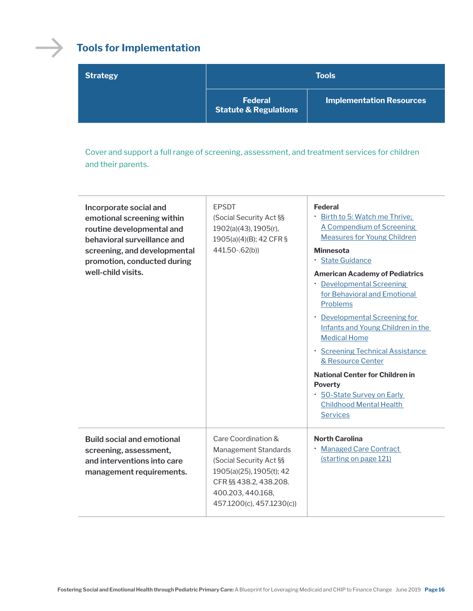

## **Tools for Implementation**

| <b>Strategy</b> | <b>Tools</b>                                       |                                 |
|-----------------|----------------------------------------------------|---------------------------------|
|                 | <b>Federal</b><br><b>Statute &amp; Regulations</b> | <b>Implementation Resources</b> |

Cover and support a full range of screening, assessment, and treatment services for children and their parents.

| Incorporate social and<br>emotional screening within<br>routine developmental and<br>behavioral surveillance and<br>screening, and developmental<br>promotion, conducted during<br>well-child visits. | <b>EPSDT</b><br>(Social Security Act §§<br>1902(a)(43), 1905(r),<br>1905(a)(4)(B); 42 CFR §<br>441.50-.62(b))                                                                  | <b>Federal</b><br>Birth to 5: Watch me Thrive;<br>A Compendium of Screening<br><b>Measures for Young Children</b><br><b>Minnesota</b><br>· State Guidance<br><b>American Academy of Pediatrics</b><br>• Developmental Screening<br>for Behavioral and Emotional<br>Problems<br><b>Developmental Screening for</b><br>$\bullet$<br>Infants and Young Children in the<br><b>Medical Home</b><br>· Screening Technical Assistance<br>& Resource Center<br><b>National Center for Children in</b><br><b>Poverty</b><br>50-State Survey on Early<br><b>Childhood Mental Health</b><br><b>Services</b> |
|-------------------------------------------------------------------------------------------------------------------------------------------------------------------------------------------------------|--------------------------------------------------------------------------------------------------------------------------------------------------------------------------------|--------------------------------------------------------------------------------------------------------------------------------------------------------------------------------------------------------------------------------------------------------------------------------------------------------------------------------------------------------------------------------------------------------------------------------------------------------------------------------------------------------------------------------------------------------------------------------------------------|
| <b>Build social and emotional</b><br>screening, assessment,<br>and interventions into care<br>management requirements.                                                                                | Care Coordination &<br>Management Standards<br>(Social Security Act §§<br>1905(a)(25), 1905(t); 42<br>CFR §§ 438.2, 438.208.<br>400.203, 440.168,<br>457.1200(c), 457.1230(c)) | <b>North Carolina</b><br><b>Managed Care Contract</b><br>(starting on page 121)                                                                                                                                                                                                                                                                                                                                                                                                                                                                                                                  |